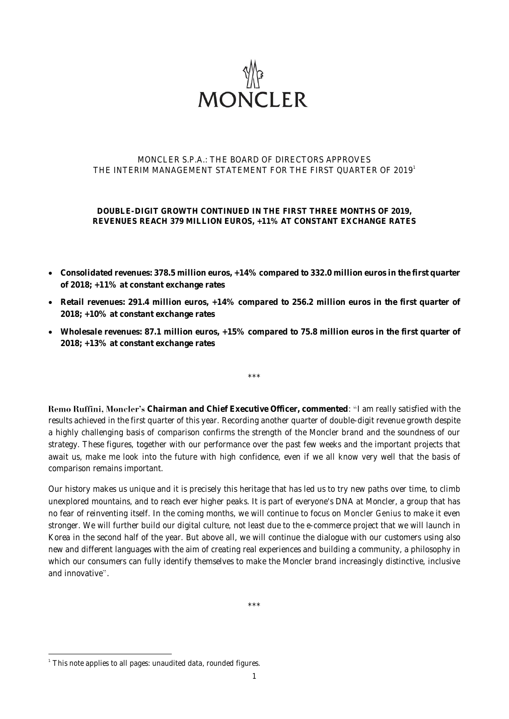

## MONCLER S.P.A.: THE BOARD OF DIRECTORS APPROVES THE INTERIM MANAGEMENT STATEMENT FOR THE FIRST QUARTER OF 2019 1

**DOUBLE-DIGIT GROWTH CONTINUED IN THE FIRST THREE MONTHS OF 2019, REVENUES REACH 379 MILLION EUROS, +11% AT CONSTANT EXCHANGE RATES**

- **Consolidated revenues: 378.5 million euros, +14% compared to 332.0 million euros in the first quarter of 2018; +11% at constant exchange rates**
- **Retail revenues: 291.4 million euros, +14% compared to 256.2 million euros in the first quarter of 2018; +10% at constant exchange rates**
- **Wholesale revenues: 87.1 million euros, +15% compared to 75.8 million euros in the first quarter of 2018; +13% at constant exchange rates**

 $*\star$ 

**Remo Ruffini. Moncler's** Chairman and Chief Executive Officer, commented: "I am really satisfied with the results achieved in the first quarter of this year. Recording another quarter of double-digit revenue growth despite a highly challenging basis of comparison confirms the strength of the Moncler brand and the soundness of our strategy. These figures, together with our performance over the past few weeks and the important projects that await us, make me look into the future with high confidence, even if we all know very well that the basis of comparison remains important.

Our history makes us unique and it is precisely this heritage that has led us to try new paths over time, to climb unexplored mountains, and to reach ever higher peaks. It is part of everyone's DNA at Moncler, a group that has no fear of reinventing itself. In the coming months, we will continue to focus on *Moncler Genius* to make it even stronger. We will further build our digital culture, not least due to the e-commerce project that we will launch in Korea in the second half of the year. But above all, we will continue the dialogue with our customers using also new and different languages with the aim of creating real experiences and building a community, a philosophy in which our consumers can fully identify themselves to make the Moncler brand increasingly distinctive, inclusive and innovative".

\*\*\*

 1 This note applies to all pages: unaudited data, rounded figures.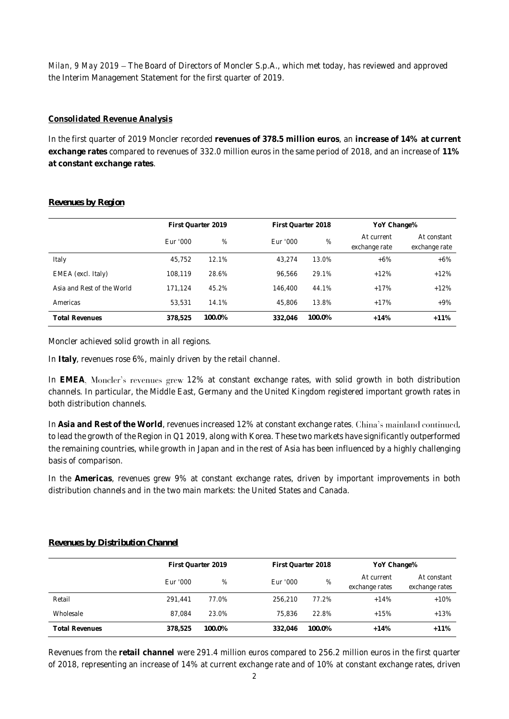*Milan, 9 May 2019* - The Board of Directors of Moncler S.p.A., which met today, has reviewed and approved the Interim Management Statement for the first quarter of 2019.

# **Consolidated Revenue Analysis**

In the first quarter of 2019 Moncler recorded **revenues of 378.5 million euros**, an **increase of 14% at current exchange rates** compared to revenues of 332.0 million euros in the same period of 2018, and an increase of **11% at constant exchange rates**.

|                            | First Quarter 2019 |        | First Quarter 2018 |        | YoY Change%                 |                              |
|----------------------------|--------------------|--------|--------------------|--------|-----------------------------|------------------------------|
|                            | Eur '000           | %      | Eur '000           | %      | At current<br>exchange rate | At constant<br>exchange rate |
| Italy                      | 45.752             | 12.1%  | 43.274             | 13.0%  | $+6\%$                      | $+6%$                        |
| EMEA (excl. Italy)         | 108.119            | 28.6%  | 96.566             | 29.1%  | $+12%$                      | $+12%$                       |
| Asia and Rest of the World | 171.124            | 45.2%  | 146.400            | 44.1%  | $+17%$                      | $+12%$                       |
| Americas                   | 53.531             | 14.1%  | 45.806             | 13.8%  | $+17%$                      | $+9%$                        |
| <b>Total Revenues</b>      | 378.525            | 100.0% | 332.046            | 100.0% | $+14%$                      | $+11%$                       |

## *Revenues by Region*

Moncler achieved solid growth in all regions.

In **Italy**, revenues rose 6%, mainly driven by the retail channel.

In EMEA, Moncler's revenues grew 12% at constant exchange rates, with solid growth in both distribution channels. In particular, the Middle East, Germany and the United Kingdom registered important growth rates in both distribution channels.

In **Asia and Rest of the World**, revenues increased 12% at constant exchange rates , to lead the growth of the Region in Q1 2019, along with Korea. These two markets have significantly outperformed the remaining countries, while growth in Japan and in the rest of Asia has been influenced by a highly challenging basis of comparison.

In the **Americas**, revenues grew 9% at constant exchange rates, driven by important improvements in both distribution channels and in the two main markets: the United States and Canada.

## *Revenues by Distribution Channel*

|                       | First Quarter 2019 |        |          | First Quarter 2018 |                              | YoY Change%                   |  |
|-----------------------|--------------------|--------|----------|--------------------|------------------------------|-------------------------------|--|
|                       | Eur '000           | %      | Fur '000 | %                  | At current<br>exchange rates | At constant<br>exchange rates |  |
| Retail                | 291.441            | 77.0%  | 256.210  | 77.2%              | $+14%$                       | $+10%$                        |  |
| Wholesale             | 87.084             | 23.0%  | 75.836   | 22.8%              | $+15%$                       | $+13%$                        |  |
| <b>Total Revenues</b> | 378.525            | 100.0% | 332.046  | 100.0%             | $+14%$                       | $+11%$                        |  |

Revenues from the **retail channel** were 291.4 million euros compared to 256.2 million euros in the first quarter of 2018, representing an increase of 14% at current exchange rate and of 10% at constant exchange rates, driven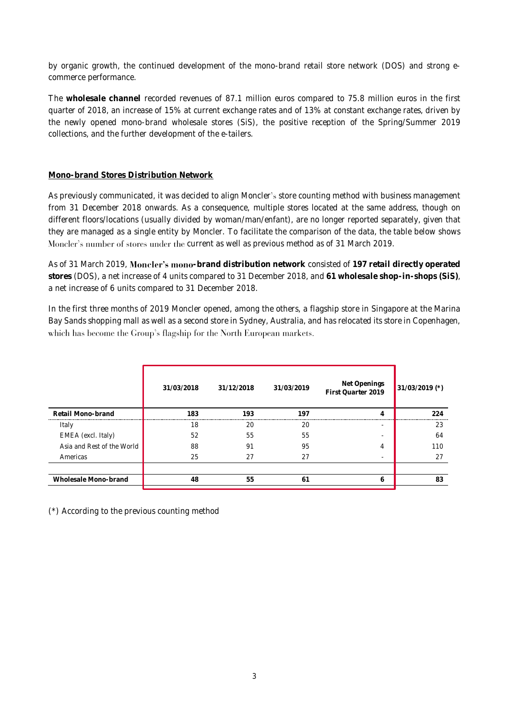by organic growth, the continued development of the mono-brand retail store network (DOS) and strong ecommerce performance.

The **wholesale channel** recorded revenues of 87.1 million euros compared to 75.8 million euros in the first quarter of 2018, an increase of 15% at current exchange rates and of 13% at constant exchange rates, driven by the newly opened mono-brand wholesale stores (SiS), the positive reception of the Spring/Summer 2019 collections, and the further development of the e-tailers.

## **Mono-brand Stores Distribution Network**

As previously communicated, it was decided to align Moncler's store counting method with business management from 31 December 2018 onwards. As a consequence, multiple stores located at the same address, though on different floors/locations (usually divided by woman/man/enfant), are no longer reported separately, given that they are managed as a single entity by Moncler. To facilitate the comparison of the data, the table below shows Moncler's number of stores under the current as well as previous method as of 31 March 2019.

As of 31 March 2019, **Moncler's mono**-brand distribution network consisted of 197 retail directly operated **stores** (DOS), a net increase of 4 units compared to 31 December 2018, and **61 wholesale shop-in-shops (SiS)**, a net increase of 6 units compared to 31 December 2018.

In the first three months of 2019 Moncler opened, among the others, a flagship store in Singapore at the Marina Bay Sands shopping mall as well as a second store in Sydney, Australia, and has relocated its store in Copenhagen, which has become the Group's flagship for the North European markets.

|                            | 31/03/2018 | 31/12/2018 | 31/03/2019 | Net Openings<br>First Quarter 2019 | $31/03/2019$ (*) |
|----------------------------|------------|------------|------------|------------------------------------|------------------|
| Retail Mono-brand          | 183        | 193        | 197        |                                    | 224              |
| Italy                      | 18         | 20         | 20         | ۰                                  | 23               |
| EMEA (excl. Italy)         | 52         | 55         | 55         |                                    | 64               |
| Asia and Rest of the World | 88         | 91         | 95         | 4                                  | 110              |
| Americas                   | 25         | 27         | 27         |                                    | 27               |
|                            |            |            |            |                                    |                  |
| Wholesale Mono-brand       | 48         | 55         | 61         | h                                  | 83               |
|                            |            |            |            |                                    |                  |

(\*) According to the previous counting method